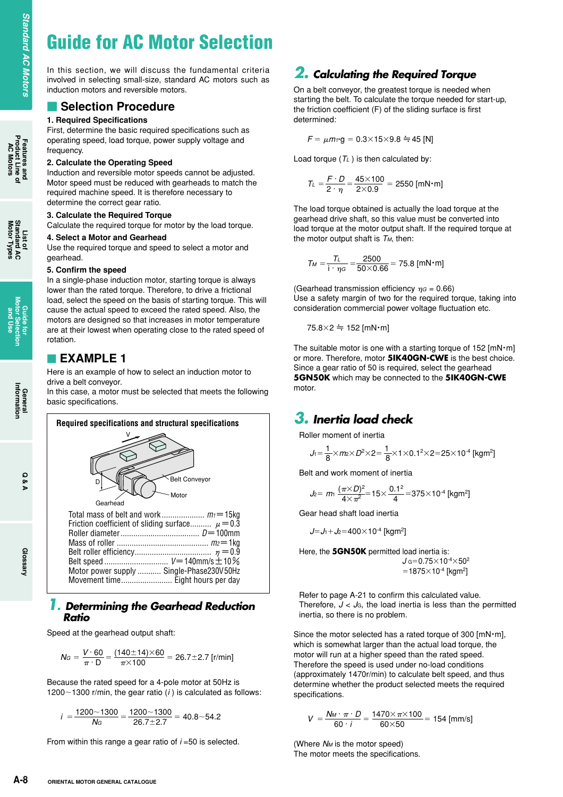# **Guide for AC Motor Selection**

In this section, we will discuss the fundamental criteria involved in selecting small-size, standard AC motors such as induction motors and reversible motors.

### **Selection Procedure**

### **1. Required Specifications**

First, determine the basic required specifications such as operating speed, load torque, power supply voltage and frequency.

#### **2. Calculate the Operating Speed**

Induction and reversible motor speeds cannot be adjusted. Motor speed must be reduced with gearheads to match the required machine speed. It is therefore necessary to determine the correct gear ratio.

#### **3. Calculate the Required Torque**

Calculate the required torque for motor by the load torque.

#### **4. Select a Motor and Gearhead**

Use the required torque and speed to select a motor and gearhead.

#### **5. Confirm the speed**

In a single-phase induction motor, starting torque is always lower than the rated torque. Therefore, to drive a frictional load, select the speed on the basis of starting torque. This will cause the actual speed to exceed the rated speed. Also, the motors are designed so that increases in motor temperature are at their lowest when operating close to the rated speed of rotation.

### **EXAMPLE 1**

Here is an example of how to select an induction motor to drive a belt conveyor.

In this case, a motor must be selected that meets the following basic specifications.



### *1. Determining the Gearhead Reduction Ratio*

Speed at the gearhead output shaft:

$$
N_G = \frac{V \cdot 60}{\pi \cdot D} = \frac{(140 \pm 14) \times 60}{\pi \times 100} = 26.7 \pm 2.7 \text{ [r/min]}
$$

Because the rated speed for a 4-pole motor at 50Hz is 1200 $\sim$ 1300 r/min, the gear ratio ( $i$ ) is calculated as follows:

$$
i = \frac{1200 \times 1300}{N_G} = \frac{1200 \times 1300}{26.7 \pm 2.7} = 40.8 \times 54.2
$$

From within this range a gear ratio of *i* =50 is selected.

### *2. Calculating the Required Torque*

On a belt conveyor, the greatest torque is needed when starting the belt. To calculate the torque needed for start-up, the friction coefficient (F) of the sliding surface is first determined:

$$
F = \mu m_1 \cdot g = 0.3 \times 15 \times 9.8 \div 45
$$
 [N]

Load torque  $(T_L)$  is then calculated by:

$$
T_{L} = \frac{F \cdot D}{2 \cdot \eta} = \frac{45 \times 100}{2 \times 0.9} = 2550 \text{ [mN} \cdot \text{m]}
$$

The load torque obtained is actually the load torque at the gearhead drive shaft, so this value must be converted into load torque at the motor output shaft. If the required torque at the motor output shaft is *TM*, then:

$$
T_M = \frac{T_L}{i \cdot \eta G} = \frac{2500}{50 \times 0.66} = 75.8 \text{ [mN·m]}
$$

(Gearhead transmission efficiency  $\eta G = 0.66$ ) Use a safety margin of two for the required torque, taking into consideration commercial power voltage fluctuation etc.

$$
75.8\times2 \doteqdot 152 \, [\text{mN} \cdot \text{m}]
$$

The suitable motor is one with a starting torque of  $152$  [mN $\cdot$ m] or more. Therefore, motor **5IK40GN-CWE** is the best choice. Since a gear ratio of 50 is required, select the gearhead **5GN50K** which may be connected to the **5IK40GN-CWE** motor.

# *3. Inertia load check*

Roller moment of inertia

$$
J_1 = \frac{1}{8} \times m_2 \times D^2 \times 2 = \frac{1}{8} \times 1 \times 0.1^2 \times 2 = 25 \times 10^{-4} \text{ [kgm}^2\text{]}
$$

Belt and work moment of inertia

$$
J_2 = m_1 \frac{(\pi \times D)^2}{4 \times \pi^2} = 15 \times \frac{0.1^2}{4} = 375 \times 10^{-4} \text{ [kg m}^2\text{]}
$$

Gear head shaft load inertia

*J*=*J*<sub>1</sub> + *J*<sub>2</sub> = 400 $\times$ 10<sup>-4</sup> [kgm<sup>2</sup>]

Here, the **5GN50K** permitted load inertia is:  $J$  G=0.75 $\times$ 10<sup>-4</sup> $\times$ 50<sup>2</sup>  $=1875\times10^{-4}$  [kgm<sup>2</sup>]

Refer to page A-21 to confirm this calculated value. Therefore,  $J < J<sub>G</sub>$ , the load inertia is less than the permitted inertia, so there is no problem.

Since the motor selected has a rated torque of 300 [mN・m], which is somewhat larger than the actual load torque, the motor will run at a higher speed than the rated speed. Therefore the speed is used under no-load conditions (approximately 1470r/min) to calculate belt speed, and thus determine whether the product selected meets the required specifications.

$$
V = \frac{N_M \cdot \pi \cdot D}{60 \cdot i} = \frac{1470 \times \pi \times 100}{60 \times 50} = 154 \text{ [mm/s]}
$$

(Where *NM* is the motor speed) The motor meets the specifications.

**AC Motors**

**General**<br>Information **Information**

**Q & A**

**List of Motor Types Standard AC**